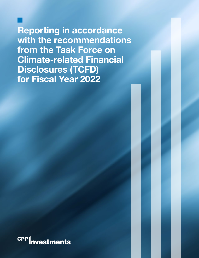**Reporting in accordance with the recommendations from the Task Force on Climate-related Financial Disclosures (TCFD) for Fiscal Year 2022**

**CPP** nvestments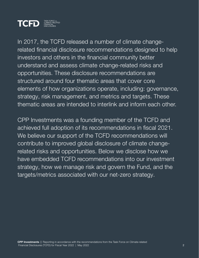

In 2017, the TCFD released a number of climate changerelated financial disclosure recommendations designed to help investors and others in the financial community better understand and assess climate change-related risks and opportunities. These disclosure recommendations are structured around four thematic areas that cover core elements of how organizations operate, including: governance, strategy, risk management, and metrics and targets. These thematic areas are intended to interlink and inform each other.

CPP Investments was a founding member of the TCFD and achieved full adoption of its recommendations in fiscal 2021. We believe our support of the TCFD recommendations will contribute to improved global disclosure of climate changerelated risks and opportunities. Below we disclose how we have embedded TCFD recommendations into our investment strategy, how we manage risk and govern the Fund, and the targets/metrics associated with our net-zero strategy.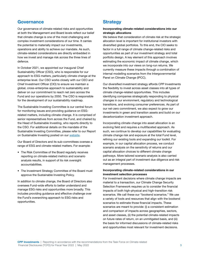## Governance

Our governance of climate-related risks and opportunities at both the Management and Board levels reflect our belief that climate change is one of the most challenging and complex investment considerations of our time. It carries the potential to materially impact our investments, operations and ability to achieve our mandate. As such, climate-related considerations are directly embedded in how we invest and manage risk across the three lines of defence.

In October 2021, we appointed our inaugural Chief Sustainability Officer (CSO), who is responsible for our approach to ESG matters, particularly climate change at the enterprise level. Our CSO works closely with our CEO and Chief Investment Officer (CIO) to ensure we maintain a global, cross-enterprise approach to sustainability and deliver on our commitment to reach net zero across the Fund and our operations by 2050. The CSO is responsible for the development of our sustainability roadmap.

The Sustainable Investing Committee is our central forum for monitoring issues and providing guidance on ESGrelated matters, including climate change. It is comprised of senior representatives from across the Fund, and chaired by the Head of Sustainable Investing, who reports directly to the CSO. For additional details on the mandate of the Sustainable Investing Committee, please refer to our Report on Sustainable Investing posted on our [website.](https://www.cppinvestments.com/the-fund/sustainable-investing)

Our Board of Directors and its sub-committees oversee a range of ESG and climate-related matters. For example:

- The Risk Committee of the Board regularly receives reporting on climate-related metrics and scenario analysis results, in support of its risk oversight accountabilities.
- The Investment Strategy Committee of the Board must approve the Sustainable Investing Policy.

In addition to climate change, the Board of Directors also oversees Fund-wide efforts to better understand and manage ESG risks and opportunities more broadly. This includes providing guidance and effective challenge over the Fund's overarching approach to ESG risks and opportunities.

# **Strategy**

## Incorporating climate-related considerations into our strategic allocations

We believe that consideration of climate risk at the strategic allocation level is important for institutional investors with diversified global portfolios. To this end, the CIO seeks to factor in a full range of climate change-related risks and opportunities as part of our investment strategy and total portfolio design. A key element of this approach involves estimating the economic impact of climate change, which we incorporate into our views on long-run returns. We currently measure these impacts through a combination of internal modelling scenarios from the Intergovernmental Panel on Climate Change (IPCC).

Our diversified investment strategy affords CPP Investments the flexibility to invest across asset classes into all types of climate change-related opportunities. This includes identifying companies strategically responding to physical changes in our environment, regulatory and technological transitions, and evolving consumer preferences. As part of our net-zero commitment, we also expect to grow our investments in green and transition assets and build on our decarbonization investment approach.

Incorporating climate change into asset allocation is an evolving field and requires a multifaceted approach. As such, we continue to develop our capabilities for evaluating climate change risk and exposure at the total Fund level, refining our existing tools and expanding our toolkit. For example, in our capital allocation process, we conduct scenario analysis on the sensitivity of returns and our capital allocation choices to different climate change pathways. More tailored scenario analysis is also carried out as an integral part of investment due diligence and risk management processes.

## Incorporating climate-related considerations in our investment selection processes

For investment decisions where climate change impacts are material to a transaction, our Climate Change Security Selection Framework requires us to consider the financial impacts of both high-physical and high-transition risk scenarios. We call these our "bookend scenarios." We use a variety of tools and resources that align with the bookend scenarios to estimate those financial impacts. These scenarios are meant to provide: (i) a consistent estimation and comparison of impacts across geographies, sectors, and asset classes, (ii) the potential climate-related impacts on future rates of return, on an unmitigated basis, and (iii) the basis for informed discussions of climate-related risks and opportunities most relevant for investment decisions.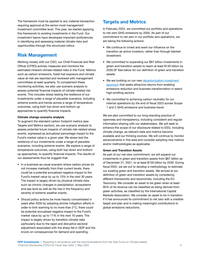The framework must be applied to any material transaction requiring approval at the senior-most management investment committee level. This year, we started applying this framework to existing investments in the Fund. Our investment teams have developed important proficiencies in identifying and assessing material climate risks and opportunities through this structured rollout.

# Risk Management

Working closely with our CSO, our Chief Financial and Risk Officer (CFRO) actively measures and monitors the estimated inherent climate-related risks in the Fund. Metrics such as carbon emissions, fossil fuel exposure and climate value-at-risk are reported and reviewed with management committees at least quarterly. To complement these monitoring activities, we also use scenario analysis to assess potential financial impacts of climate-related risk events. This includes stress testing the resilience of our investments under a range of plausible scenarios, including extreme events and trends across a range of temperature outcomes, using both top-down and bottom-up approaches to quantify financial impacts.

### Climate change scenario analysis

To augment the standard carbon footprint metrics (see Targets and Metrics section), we use scenario analysis to assess potential future impacts of climate risk-related stress events, expressed as annualized percentage impact to the Fund's market value in a given year. We stress test the resilience of our investments under a range of plausible scenarios, including extreme events. We explore a range of temperature outcomes, using both top-down and bottomup approaches, to quantify financial impacts. The results of our assessments thus far suggest that:

- In a business-as-usual scenario where carbon prices do not increase markedly from their current levels, there could be a potential annualized negative impact to the Fund's market value by up to 13% in the next 30 years. The impact is largely driven by physical climate risks such as chronic changes in precipitation, ecosystems and sea level as well as the rise in the frequency and severity of extreme weather events.
- Should policy actions be more heavily concentrated in years after 2030 by adopting stricter mitigation efforts in order to limit warming to no more than 2°C, there could be potential annualized negative impact to the Fund's market value by up to 11% in the next 10 years. The impact is largely driven by transition climate risks particularly due to the rapid and disruptive sectoral adjustment associated with the sharp fall in GDP and the knock-on consequences for demand and spending.

# Targets and Metrics

In February 2022, we committed our portfolio and operations to net-zero GHG emissions by 2050. As part of our commitment to net zero in our portfolio and operations, we are taking the following actions:

- We continue to invest and exert our influence on the transition as active investors, rather than through blanket divestment.
- We committed to expanding our \$67 billion investments in green and transition assets to reach at least \$130 billion by 2030.0F See below for our definition of green and transition assets.
- We are building on our new [decarbonization investment](https://www.cppinvestments.com/the-fund/sustainable-investing#net-zero) [approach](https://www.cppinvestments.com/the-fund/sustainable-investing#net-zero) that seeks attractive returns from enabling emissions reduction and business transformation in select high-emitting sectors.
- We committed to achieving carbon neutrality for our internal operations by the end of fiscal 2023 across Scope 1 and 2 GHG emissions and business travel.

We are also committed to our long-standing practice of openness and transparency, including consistent and regular information-sharing with our stakeholders. We will seek to enhance the scope of our disclosure related to ESG, including climate change, as relevant data and metrics become available and our thinking evolves. We will continue to monitor advancements in this area and consider adopting new metrics and/or methodologies as applicable.

### Green and Transition Assets

As part of our net-zero commitment, we will expand our investments in green and transition assets from \$67 billion as of December 31, 2021, to at least \$130 billion by 2030. During fiscal 2022, we set out to develop a methodology to estimate our existing green and transition assets. We arrived at our definition of green and transition assets by considering different frameworks and taxonomies, including the EU Taxonomy. We consider an asset to be green when at least 95% of its revenue can be classified as being derived from green activities, as classified by the International Capital Markets Association. We consider an asset to be in transition if it has announced its commitment to net zero with a credible target and plan and is making meaningful contributions to global emissions reductions.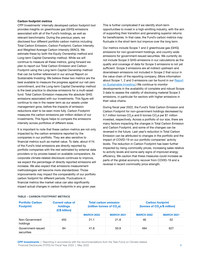#### Carbon footprint metrics

CPP Investments' internally developed carbon footprint tool provides insights on greenhouse gas (GHG) emissions associated with all of the Fund's holdings, as well as relevant benchmarks. During the previous years, we disclosed four different portfolio carbon metrics including Total Carbon Emission, Carbon Footprint, Carbon Intensity and Weighted Average Carbon Intensity (WACI). We estimate these by both the Equity Ownership method and Long-term Capital Ownership method. While we will continue to measure all these metrics, going forward we plan to report our Total Carbon Emission and Carbon Footprint using the Long-term Capital Ownership method that can be further referenced in our annual Report on Sustainable Investing. We believe these two metrics are the best available to measure the progress against our net-zero commitment, and the Long-term Capital Ownership method is the best practice to disclose emissions for a multi-asset fund. Total Carbon Emission measures the absolute GHG emissions associated with our investments. This figure will continue to rise in the nearer term as our assets under management grow, before the impacts of emission reductions start to be seen more fully. Carbon Footprint measures the carbon emissions per million dollars of our investments. This figure helps to compare the emissions intensity across portfolios of different sizes.

It is important to note that these carbon metrics are not only impacted by the carbon emissions reported by the companies in our portfolio. They are also sensitive to financial metrics such as market value. To date, about 41% of the Fund's total emissions are directly reported by portfolio companies with the rest estimated by external data providers or by proxies based on available comparators. As corporate climate-related disclosure continues to improve, we expect the percentage of directly reported emissions will increase. We also expect that emissions measurement methodologies will become more standardized. Those improvements may impact the comparability of our portfolio carbon footprint for different periods. Fluctuations in financial metrics like market value can also significantly impact actual changes in carbon footprints in any given year.

This is further complicated if we identify short-term opportunities to invest in a high-emitting industry, with the aim of supporting their transition and generating superior returns for beneficiaries. In that case, the Fund's carbon metrics may fluctuate in the short term but improve over the long term.

Our metrics include Scope 1 and 2 greenhouse gas (GHG) emissions for non-government holdings, and country-wide emissions for government-issued securities. We currently do not include Scope 3 GHG emissions in our calculations as the quality and coverage of data for Scope 3 emissions is not yet sufficient. Scope 3 emissions are all indirect upstream and downstream emissions not included in Scope 2 that occur in the value chain of the reporting company. (More information about Scope 1, 2 and 3 emissions can be found in our [Report](https://www.cppinvestments.com/the-fund/sustainable-investing) [on Sustainable Investing](https://www.cppinvestments.com/the-fund/sustainable-investing).) We continue to monitor developments in the availability of complete and robust Scope 3 data to assess the viability of disclosing material Scope 3 emissions, in particular for sectors with higher emissions in their value chains.

During fiscal year 2022, the Fund's Total Carbon Emission and Carbon Footprint for non-government holdings decreased by 0.7 million tonnes CO<sub>2</sub>e and 6 tonnes CO<sub>2</sub>e per \$1 million invested, respectively. Across a portfolio of our size, there are many factors impacting the changes in Total Carbon Emission and Carbon Footprint, and some of the changes can be reversed in the future. Last year's reduction in Total Carbon Emission can be attributed to changes in the portfolio and the impact of COVID-19 on our portfolio companies' activity levels. The reduction in Carbon Footprint has been further impacted by rising commodity prices, increasing sales relative to activity levels and some early signs of improved energy efficiency. We caution that these measures could increase as parts of the global economy recover from COVID-19 and a reversal in recent commodity price strength.

| <b>Portfolio Carbon</b><br><b>Footprint</b> | <b>Current value of</b><br>holdings<br>(C\$ billion) | <b>Total carbon emission</b><br>(million tonnes of CO <sub>2</sub> e) |                   | <b>Carbon footprint</b><br>(tonnes of CO <sub>2</sub> e/\$ million) |                   |
|---------------------------------------------|------------------------------------------------------|-----------------------------------------------------------------------|-------------------|---------------------------------------------------------------------|-------------------|
|                                             |                                                      | <b>MARCH 2022</b>                                                     | <b>MARCH 2021</b> | <b>MARCH 2022</b>                                                   | <b>MARCH 2021</b> |
| Non-Government<br>holdings                  | 455                                                  | 21.1                                                                  | 21.8              | 46                                                                  | 52                |
| Government-issued<br>securities             | 84                                                   | 41.6                                                                  | 50.9              | 494                                                                 | 627               |

## TABLE – CARBON FOOTPRINT METRICS